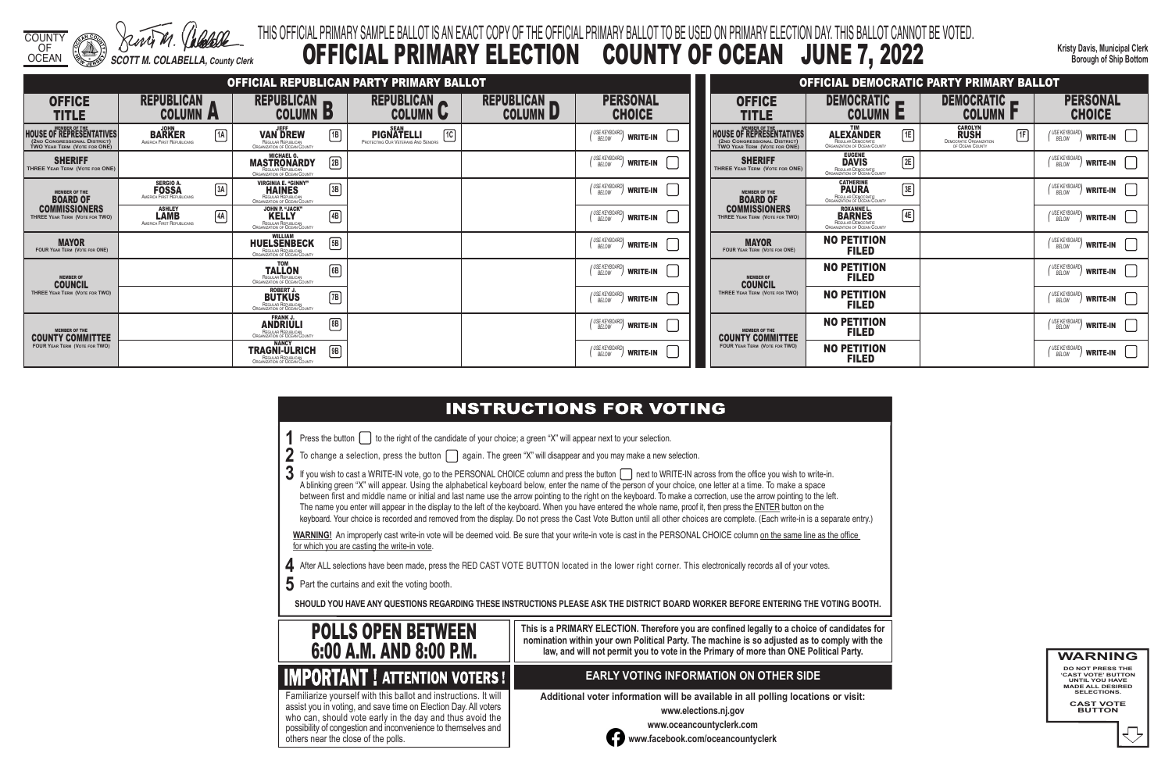COUNTY OF

OCEAN *SCOTT M. COLABELLA, County Clerk*

**Kristy Davis, Municipal Clerk Borough of Ship Bottom**

### THIS OFFICIAL PRIMARY SAMPLE BALLOT IS AN EXACT COPY OF THE OFFICIAL PRIMARY BALLOT TO BE USED ON PRIMARY ELECTION DAY. THIS BALLOT CANNOT BE VOTED. OFFICIAL PRIMARY ELECTION COUNTY OF OCEAN JUNE 7, 2022

3 If you wish to cast a WRITE-IN vote, go to the PERSONAL CHOICE column and press the button next to WRITE-IN across from the office you wish to write-in. A blinking green "X" will appear. Using the alphabetical keyboard below, enter the name of the person of your choice, one letter at a time. To make a space between first and middle name or initial and last name use the arrow pointing to the right on the keyboard. To make a correction, use the arrow pointing to the left. The name you enter will appear in the display to the left of the keyboard. When you have entered the whole name, proof it, then press the ENTER button on the keyboard. Your choice is recorded and removed from the display. Do not press the Cast Vote Button until all other choices are complete. (Each write-in is a separate entry.)

WARNING! An improperly cast write-in vote will be deemed void. Be sure that your write-in vote is cast in the PERSONAL CHOICE column on the same line as the office for which you are casting the write-in vote.

**4** After ALL selections have been made, press the RED CAST VOTE BUTTON located in the lower right corner. This electronically records all of your votes.

**5** Part the curtains and exit the voting booth.

**SHOULD YOU HAVE ANY QUESTIONS REGARDING THESE INSTRUCTIONS PLEASE ASK THE DISTRICT BOARD WORKER BEFORE ENTERING THE VOTING BOOTH.**

**This is a PRIMARY ELECTION. Therefore you are confined legally to a choice of candidates for nomination within your own Political Party. The machine is so adjusted as to comply with the law, and will not permit you to vote in the Primary of more than ONE Political Party.**

 assist you in voting, and save time on Election Day. All voters Familiarize yourself with this ballot and instructions. It will who can, should vote early in the day and thus avoid the possibility of congestion and inconvenience to themselves and others near the close of the polls.

### **EARLY VOTING INFORMATION ON OTHER SIDE**

**Additional voter information will be available in all polling locations or visit:**

**www.elections.nj.gov** 



**www.oceancountyclerk.com <sup>w</sup>ww.facebook.com/oceancountyclerk**

**WARNING DO NOT PRESS THE** 

**'CAST VOTE' BUTTON UNTIL YOU HAVE MADE ALL DESIRED SELECTIONS.** 

**CAST VOTE BUTTON**



|                                                                                                                         |                                                                     |                                                                                                   |              | OFFICIAL REPUBLICAN PARTY PRIMARY BALLOT                                      |                                      |                                            |                                                                                                                         |
|-------------------------------------------------------------------------------------------------------------------------|---------------------------------------------------------------------|---------------------------------------------------------------------------------------------------|--------------|-------------------------------------------------------------------------------|--------------------------------------|--------------------------------------------|-------------------------------------------------------------------------------------------------------------------------|
| <b>OFFICE</b><br><b>TITLE</b>                                                                                           | <b>REPUBLICAN</b><br><b>COLUMN A</b>                                | <b>REPUBLICAN</b><br><b>COLUMN</b><br>P                                                           |              | <b>REPUBLICAN</b><br><b>COLUMN U</b>                                          | <b>REPUBLICAN</b><br><b>COLUMN L</b> | <b>PERSONAL</b><br><b>CHOICE</b>           | <b>OFFICE</b><br><b>TITLE</b>                                                                                           |
| <b>MEMBER OF THE</b><br><b>HOUSE OF REPRESENTATIVES</b><br>(2ND CONGRESSIONAL DISTRICT)<br>TWO YEAR TERM (VOTE FOR ONE) | <b>JOHN</b><br>1A<br><b>BARKER</b><br>AMERICA FIRST REPUBLICANS     | <b>JEFF</b><br><b>VAN DREW</b><br>REGULAR REPUBLICAN<br>ORGANIZATION OF OCEAN COUNTY              | 1B           | <b>SEAN</b><br>ि।<br><b>PIGNATELLI</b><br>PROTECTING OUR VETERANS AND SENIORS |                                      | (USE KEYBOARD)<br><b>WRITE-IN</b>          | <b>MEMBER OF THE</b><br><b>HOUSE OF REPRESENTATIVES</b><br>(2ND CONGRESSIONAL DISTRICT)<br>TWO YEAR TERM (VOTE FOR ONE) |
| <b>SHERIFF</b><br>THREE YEAR TERM (VOTE FOR ONE)                                                                        |                                                                     | <b>MICHAEL G.</b><br><b>MASTRONARDY</b><br>REGULAR REPUBLICAN<br>ORGANIZATION OF OCEAN COUNTY     | $\boxed{2B}$ |                                                                               |                                      | (USE KEYBOARD)<br><b>WRITE-IN</b>          | <b>SHERIFF</b><br>THREE YEAR TERM (VOTE FOR ONE)                                                                        |
| <b>MEMBER OF THE</b><br><b>BOARD OF</b>                                                                                 | <b>SERGIO A.</b><br>3A<br><b>FOSSA</b><br>AMERICA FIRST REPUBLICANS | <b>VIRGINIA E. "GINNY"</b><br><b>HAINES</b><br>REGULAR REPUBLICAN<br>ORGANIZATION OF OCEAN COUNTY | $\boxed{3B}$ |                                                                               |                                      | USE KEYBOARD<br><b>WRITE-IN</b>            | <b>MEMBER OF THE</b><br><b>BOARD OF</b>                                                                                 |
| <b>COMMISSIONERS</b><br>THREE YEAR TERM (VOTE FOR TWO)                                                                  | <b>ASHLEY</b><br>4A<br><b>LAMB</b><br>AMERICA FIRST REPUBLICANS     | JOHN P. "JACK"<br><b>KELLY</b><br>REGULAR REPUBLICAN<br>ORGANIZATION OF OCEAN COUNTY              | $\boxed{4B}$ |                                                                               |                                      | (USE KEYBOARD)<br><b>WRITE-IN</b>          | <b>COMMISSIONERS</b><br>THREE YEAR TERM (VOTE FOR TWO)                                                                  |
| <b>MAYOR</b><br><b>FOUR YEAR TERM (VOTE FOR ONE)</b>                                                                    |                                                                     | <b>WILLIAM</b><br><b>HUELSENBECK</b><br><b>REGULAR REPUBLICAN</b><br>ORGANIZATION OF OCEAN COUNTY | $\sqrt{5B}$  |                                                                               |                                      | (USE KEYBOARD)<br><b>WRITE-IN</b><br>BELOW | <b>MAYOR</b><br><b>FOUR YEAR TERM (VOTE FOR ONE)</b>                                                                    |
| <b>MEMBER OF</b><br><b>COUNCIL</b>                                                                                      |                                                                     | <b>TOM</b><br><b>TALLON</b><br>REGULAR REPUBLICAN<br><b>ORGANIZATION OF OCEAN COUNTY</b>          | 6B           |                                                                               |                                      | (USE KEYBOARD)<br><b>WRITE-IN</b>          | <b>MEMBER OF</b><br><b>COUNCIL</b>                                                                                      |
| THREE YEAR TERM (VOTE FOR TWO)                                                                                          |                                                                     | <b>ROBERT J.</b><br><b>BUTKUS</b><br>REGULAR REPUBLICAN<br>ORGANIZATION OF OCEAN COUNTY           | $\boxed{7B}$ |                                                                               |                                      | / USE KEYBOARD<br><b>WRITE-IN</b><br>BELOW | THREE YEAR TERM (VOTE FOR TWO)                                                                                          |
| <b>MEMBER OF THE</b><br><b>COUNTY COMMITTEE</b>                                                                         |                                                                     | <b>FRANK J.</b><br><b>ANDRIULI</b><br>REGULAR REPUBLICAN<br>ORGANIZATION OF OCEAN COUNTY          | [8B]         |                                                                               |                                      | (USE KEYBOARD)<br><b>WRITE-IN</b>          | <b>MEMBER OF THE</b><br><b>COUNTY COMMITTEE</b>                                                                         |
| <b>FOUR YEAR TERM (VOTE FOR TWO)</b>                                                                                    |                                                                     | <b>NANCY</b><br><b>TRAGNI-ULRICH</b><br>REGULAR REPUBLICAN<br>ORGANIZATION OF OCEAN COUNTY        | $\sqrt{9B}$  |                                                                               |                                      | / USE KEYBOARD<br><b>WRITE-IN</b><br>BELOW | <b>FOUR YEAR TERM (VOTE FOR TWO)</b>                                                                                    |

### **INSTRUCTIONS FOR VOTING**

**1** Press the button  $\Box$  to the right of the candidate of your choice; a green "X" will appear next to your selection.

2 To change a selection, press the button  $\Box$  again. The green "X" will disappear and you may make a new selection.

|                                                                                                     |                                                                                                       | OFFICIAL DEMOCRATIC PARTY PRIMARY BALLOT                                                 |                                                     |
|-----------------------------------------------------------------------------------------------------|-------------------------------------------------------------------------------------------------------|------------------------------------------------------------------------------------------|-----------------------------------------------------|
| OFFICE<br>TITLE                                                                                     | <b>DEMOCRATIC</b><br>E<br>COLUMN                                                                      | <b>DEMOCRATIC</b><br><b>COLUMN</b>                                                       | <b>PERSONAL</b><br><b>CHOICE</b>                    |
| <b>MEMBER OF THE</b><br>OF REPRESENTATIVES<br>ONGRESSIONAL DISTRICT)<br>$ER$ Term (Vote for $ONE$ ) | <b>TIM</b><br><b>ALEXANDER</b><br>1E<br>REGULAR DEMOCRATIC<br>ORGANIZATION OF OCEAN COUNTY            | <b>CAROLYN</b><br><b>RUSH</b><br>1F<br><b>DEMOCRATIC ORGANIZATION</b><br>OF OCEAN COUNTY | I USE KEYBOARD)<br><b>WRITE-IN</b><br>BELOW         |
| <b>SHERIFF</b><br><b>EAR TERM (VOTE FOR ONE)</b>                                                    | <b>EUGENE</b><br> 2E <br><b>DAVIS</b><br>REGULAR DEMOCRATIC<br>ORGANIZATION OF OCEAN COUNTY           |                                                                                          | I USE KEYBOARD <b>I</b><br><b>WRITE-IN</b><br>BELOW |
| <b>MEMBER OF THE</b><br><b>BOARD OF</b>                                                             | <b>CATHERINE</b><br>3E<br><b>PAURA</b><br>REGULAR DEMOCRATIC<br>ORGANIZATION OF OCEAN COUNTY          |                                                                                          | USE KEYBOARD)<br><b>WRITE-IN</b><br><b>BELOW</b>    |
| MMISSIONERS<br>YEAR TERM (VOTE FOR TWO)                                                             | <b>ROXANNE L.</b><br>4E<br><b>BARNES</b><br>REGULAR DEMOCRATIC<br><b>ORGANIZATION OF OCEAN COUNTY</b> |                                                                                          | I USE KEYBOARDI<br><b>WRITE-IN</b><br>BELOW         |
| <b>MAYOR</b><br>YEAR TERM (VOTE FOR ONE)                                                            | <b>NO PETITION</b><br><b>FILED</b>                                                                    |                                                                                          | ' USE KEYBOARD <b>\</b><br><b>WRITE-IN</b><br>BELOW |
| <b>MEMBER OF</b><br><b>COUNCIL</b>                                                                  | <b>NO PETITION</b><br><b>FILED</b>                                                                    |                                                                                          | / USE KEYBOARD)<br><b>WRITE-IN</b><br><b>BELOW</b>  |
| YEAR TERM (VOTE FOR TWO)                                                                            | <b>NO PETITION</b><br><b>FILED</b>                                                                    |                                                                                          | USE KEYBOARD)<br><b>WRITE-IN</b><br><b>BELOW</b>    |
| <b>MEMBER OF THE</b><br><b>NTY COMMITTEE</b>                                                        | <b>NO PETITION</b><br><b>FILED</b>                                                                    |                                                                                          | ( USE KEYBOARD)<br><b>WRITE-IN</b><br>BELOW         |
| <b>FEAR TERM (VOTE FOR TWO)</b>                                                                     | <b>NO PETITION</b><br><b>FILED</b>                                                                    |                                                                                          | ' USE KEYBOARD)<br><b>WRITE-IN</b><br>BELOW         |

- 
- 
- 
-